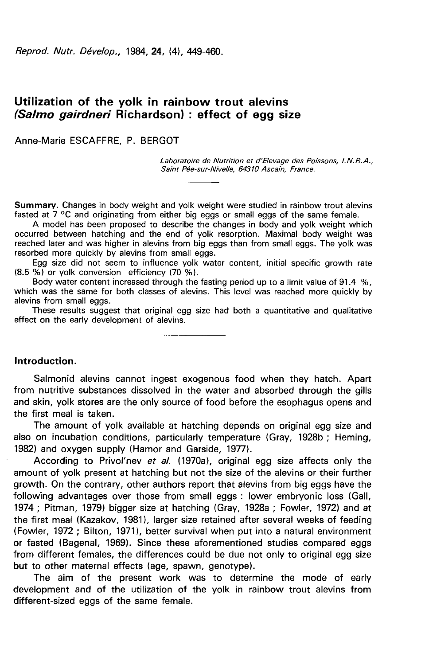Reprod. Nutr. Dévelop., 1984, 24, (4), 449-460.

# Utilization of the yolk in rainbow trout alevins (Salmo gairdneri Richardson) : effect of egg size

Anne-Marie ESCAFFRE, P. BERGOT

Laboratoire de Nutrition et d'Elevage des Poissons, I.N.R.A., Saint Pée-sur-Nivelle, 64310 Ascain, France.

Summary. Changes in body weight and yolk weight were studied in rainbow trout alevins fasted at 7 °C and originating from either big eggs or small eggs of the same female.

A model has been proposed to describe the changes in body and yolk weight which occurred between hatching and the end of yolk resorption. Maximal body weight was reached later and was higher in alevins from big eggs than from small eggs. The yolk was resorbed more quickly by alevins from small eggs.

Egg size did not seem to influence yolk water content, initial specific growth rate (8.5 %) or yolk conversion efficiency (70 %).

Body water content increased through the fasting period up to a limit value of 91.4 %, which was the same for both classes of alevins. This level was reached more quickly by alevins from small eggs.

These results suggest that original egg size had both a quantitative and qualitative effect on the early development of alevins.

### Introduction.

Salmonid alevins cannot ingest exogenous food when they hatch. Apart from nutritive substances dissolved in the water and absorbed through the gills and skin, yolk stores are the only source of food before the esophagus opens and the first meal is taken.

The amount of yolk available at hatching depends on original egg size and also on incubation conditions, particularly temperature (Gray, 1928b ; Heming, 1982) and oxygen supply (Hamor and Garside, 1977).

According to Privol'nev et al. (1970a), original egg size affects only the amount of yolk present at hatching but not the size of the alevins or their further growth. On the contrary, other authors report that alevins from big eggs have the following advantages over those from small eggs : lower embryonic loss (Gall, 1974 ; Pitman, 1979) bigger size at hatching (Gray, 1928a ; Fowler, 1972) and at the first meal (Kazakov, 1981), larger size retained after several weeks of feeding (Fowler, 1972 ; Bilton, 1971), better survival when put into a natural environment or fasted (Bagenal, 1969). Since these aforementioned studies compared eggs from different females, the differences could be due not only to original egg size but to other maternal effects (age, spawn, genotype).

The aim of the present work was to determine the mode of early development and of the utilization of the yolk in rainbow trout alevins from different-sized eggs of the same female.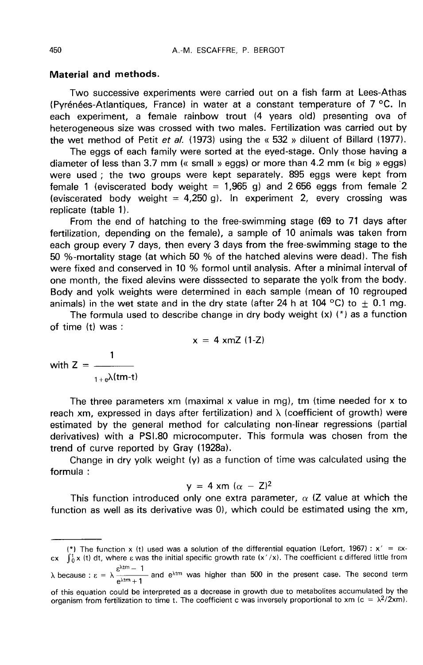### Material and methods.

Two successive experiments were carried out on a fish farm at Lees-Athas (Pyr6n6es-Atlantiques, France) in water at a constant temperature of 7 °C. In each experiment, a female rainbow trout (4 years old) presenting ova of heterogeneous size was crossed with two males. Fertilization was carried out by the wet method of Petit et al. (1973) using the « $532$  » diluent of Billard (1977).

The eggs of each family were sorted at the eyed-stage. Only those having a diameter of less than 3.7 mm (« small » eggs) or more than 4.2 mm (« big » eggs) were used ; the two groups were kept separately. 895 eggs were kept from female 1 (eviscerated body weight =  $1,965$  g) and 2 656 eggs from female 2 (eviscerated body weight =  $4,250$  g). In experiment 2, every crossing was replicate (table 1).

From the end of hatching to the free-swimming stage (69 to 71 days after fertilization, depending on the female), a sample of 10 animals was taken from each group every 7 days, then every 3 days from the free-swimming stage to the 50 %-mortality stage (at which 50 % of the hatched alevins were dead). The fish were fixed and conserved in 10 % formol until analysis. After a minimal interval of one month, the fixed alevins were disssected to separate the yolk from the body. Body and yolk weights were determined in each sample (mean of 10 regrouped animals) in the wet state and in the dry state (after 24 h at 104 °C) to  $\pm$  0.1 mg.

The formula used to describe change in dry body weight  $(x)$  ( $^*$ ) as a function of time (t) was :

 $x = 4$  xmZ (1-Z)

with  $Z = \frac{1}{\sqrt{2\pi}}$  $_{1+e}$  $\lambda$ (tm-t)

The three parameters xm (maximal x value in mg), tm (time needed for x to reach xm, expressed in days after fertilization) and  $\lambda$  (coefficient of growth) were estimated by the general method for calculating non-linear regressions (partial derivatives) with a PSI.80 microcomputer. This formula was chosen from the trend of curve reported by Gray (1928a).

Change in dry yolk weight (y) as a function of time was calculated using the formula :

$$
y = 4 \times m \ (\alpha - Z)^2
$$

This function introduced only one extra parameter,  $\alpha$  (Z value at which the function as well as its derivative was 0), which could be estimated using the xm,

<sup>(\*)</sup> The function x (t) used was a solution of the differential equation (Lefort, 1967) :  $x' = \varepsilon x$ cx  $\int_0^1 x(t) dt$ , where  $\varepsilon$  was the initial specific growth rate  $(x'/x)$ . The coefficient  $\varepsilon$  differed little from

 $\lambda$  because :  $\epsilon = \lambda \frac{\epsilon^{\lambda tm} - 1}{e^{\lambda tm} + 1}$ - and  $e^{\lambda t m}$  was higher than 500 in the present case. The second term  $\lambda$  because :  $\varepsilon = \lambda \frac{\varepsilon^{\lambda tm} - 1}{e^{\lambda tm} + 1}$  and  $e^{\lambda tm}$  was higher than 500 in the present case. The second term of this equation could be interpreted as a decrease in growth due to metabolites accumulated by the or

of this equation could be interpreted as a decrease in growth due to metabolites accumulated by the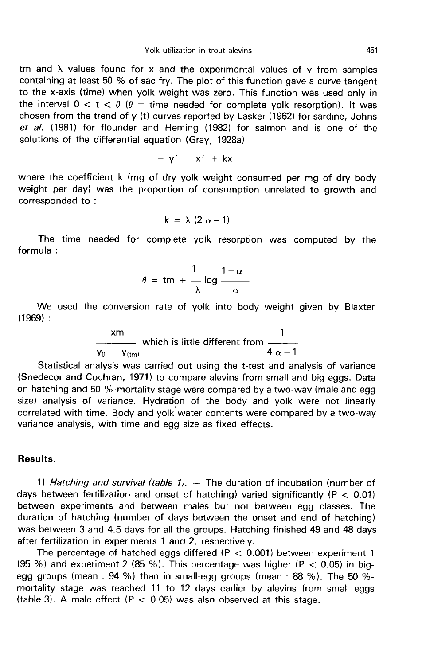tm and  $\lambda$  values found for x and the experimental values of y from samples containing at least 50 % of sac fry. The plot of this function gave a curve tangent to the x-axis (time) when yolk weight was zero. This function was used only in the interval  $0 < t < \theta$  ( $\theta =$  time needed for complete yolk resorption). It was chosen from the trend of y (t) curves reported by Lasker (1962) for sardine, Johns et al. (1981) for flounder and Heming (1982) for salmon and is one of the solutions of the differential equation (Gray, 1928a)

$$
- y' = x' + kx
$$

where the coefficient k (mg of dry yolk weight consumed per mg of dry body weight per day) was the proportion of consumption unrelated to growth and corresponded to :

$$
k = \lambda (2 \alpha - 1)
$$

The time needed for complete yolk resorption was computed by the formula :

$$
\theta = \text{tm} + \frac{1}{\lambda} \log \frac{1-\alpha}{\alpha}
$$

We used the conversion rate of yolk into body weight given by Blaxter  $(1969)$ :

$$
rac{\text{xm}}{\text{y}_0 - \text{y}_{\text{trm}}}
$$
 which is little different from  $\frac{1}{4 \alpha - 1}$ 

Statistical analysis was carried out using the t-test and analysis of variance (Snedecor and Cochran, 1971) to compare alevins from small and big eggs. Data on hatching and 50 %-mortality stage were compared by a two-way (male and egg size) analysis of variance. Hydration of the body and yolk were not linearly correlated with time. Body and yolk water contents were compared by a two-way variance analysis, with time and egg size as fixed effects.

# Results.

1) Hatching and survival (table 1).  $-$  The duration of incubation (number of days between fertilization and onset of hatching) varied significantly ( $P < 0.01$ ) between experiments and between males but not between egg classes. The duration of hatching (number of days between the onset and end of hatching) was between 3 and 4.5 days for all the groups. Hatching finished 49 and 48 days after fertilization in experiments 1 and 2, respectively.

The percentage of hatched eggs differed ( $P < 0.001$ ) between experiment 1 (95 %) and experiment 2 (85 %). This percentage was higher (P  $<$  0.05) in bigegg groups (mean : 94 %) than in small-egg groups (mean : 88 %). The 50 % mortality stage was reached 11 to 12 days earlier by alevins from small eggs (table 3). A male effect ( $P < 0.05$ ) was also observed at this stage.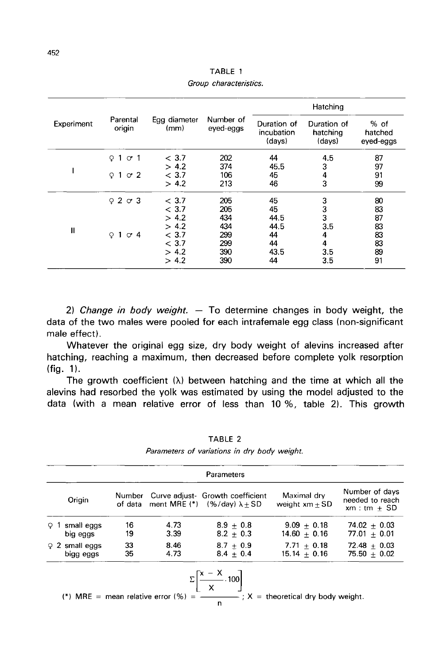| Experiment   |                        | Egg diameter<br>(mm) |                        | Hatching                            |                                   |                                |  |
|--------------|------------------------|----------------------|------------------------|-------------------------------------|-----------------------------------|--------------------------------|--|
|              | Parental<br>origin     |                      | Number of<br>eved-eggs | Duration of<br>incubation<br>(days) | Duration of<br>hatching<br>(days) | $%$ of<br>hatched<br>eved-eggs |  |
|              | $1 \circ 1$<br>$\circ$ | < 3.7                | 202                    | 44                                  | 4.5                               | 87                             |  |
|              |                        | > 4.2                | 374                    | 45.5                                | 3                                 | 97                             |  |
|              | $Q1$ or $2$            | < 3.7                | 106                    | 45                                  | 4                                 | 91                             |  |
|              |                        | > 4.2                | 213                    | 46                                  | 3                                 | 99                             |  |
|              | 9203                   | < 3.7                | 205                    | 45                                  | 3                                 | 80                             |  |
|              |                        | < 3.7                | 205                    | 45                                  | 3                                 | 83                             |  |
|              |                        | > 4.2                | 434                    | 44.5                                | 3                                 | 87                             |  |
| $\mathbf{I}$ |                        | > 4.2                | 434                    | 44.5                                | 3.5                               | 83                             |  |
|              | $Q1$ or 4              | < 3.7                | 299                    | 44                                  | 4                                 | 83                             |  |
|              |                        | < 3.7                | 299                    | 44                                  | 4                                 | 83                             |  |
|              |                        | > 4.2                | 390                    | 43.5                                | 3.5                               | 89                             |  |
|              |                        | > 4.2                | 390                    | 44                                  | 3.5                               | 91                             |  |

TABLE 1 Group characteristics.

2) Change in body weight.  $-$  To determine changes in body weight, the data of the two males were pooled for each intrafemale egg class (non-significant male effect).

Whatever the original egg size, dry body weight of alevins increased after hatching, reaching a maximum, then decreased before complete yolk resorption  $(fig. 1)$ .

The growth coefficient  $(\lambda)$  between hatching and the time at which all the alevins had resorbed the yolk was estimated by using the model adjusted to the data (with a mean relative error of less than 10 %, table 2). This growth

|                                   |          |              | Parameters                                                                                                                                                    |                                 |                                                   |
|-----------------------------------|----------|--------------|---------------------------------------------------------------------------------------------------------------------------------------------------------------|---------------------------------|---------------------------------------------------|
| Origin                            | Number   |              | Curve adjust- Growth coefficient<br>of data ment MRE (*) $(% /day) \lambda \pm SD$                                                                            | Maximal dry<br>weight $xm + SD$ | Number of days<br>needed to reach<br>$xm:tm + SD$ |
| $\Omega$ 1 small eggs<br>big eggs | 16<br>19 | 4.73<br>3.39 | $8.9 + 0.8$<br>$8.2 + 0.3$                                                                                                                                    | $9.09 + 0.18$<br>$14.60 + 0.16$ | $74.02 + 0.03$<br>77.01 $\pm$ 0.01                |
| $92$ small eggs<br>bigg eggs      | 33<br>35 | 8.46<br>4.73 | $8.7 + 0.9$<br>$8.4 + 0.4$                                                                                                                                    | $7.71 + 0.18$<br>$15.14 + 0.16$ | $72.48 + 0.03$<br>$75.50 + 0.02$                  |
|                                   |          |              | $\Sigma \left[\frac{x - X}{x} \cdot 100\right]$<br>(*) MRE = mean relative error $\left(\frac{9}{6}\right)$ = $\frac{36}{2}$ x = theoretical dry body weight. |                                 |                                                   |

TABLE 2

Parameters of variations in dry body weight.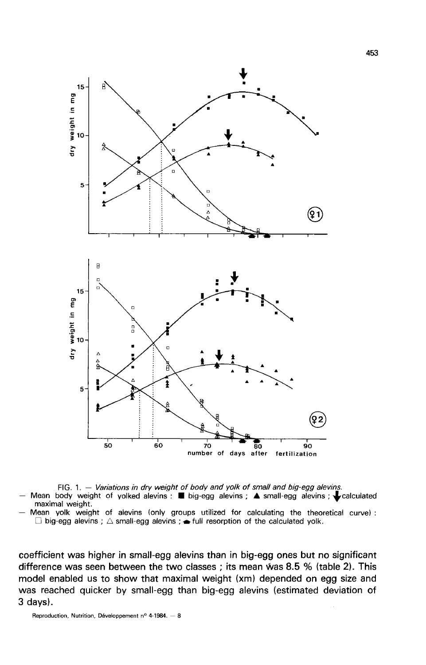

FIG. 1. - Variations in dry weight of body and yolk of small and big-egg alevins. Mean body weight of yolked alevins :  $\blacksquare$  big-egg alevins ;  $\blacktriangle$  small-egg alevins ;  $\blacktriangleright$  calculated maximal weight.

Mean yolk weight of alevins (only groups utilized for calculating the theoretical curve):  $\Box$  big-egg alevins ;  $\triangle$  small-egg alevins ;  $\blacktriangle$  full resorption of the calculated yolk.

coefficient was higher in small-egg alevins than in big-egg ones but no significant difference was seen between the two classes ; its mean was 8.5 % (table 2). This model enabled us to show that maximal weight (xm) depended on egg size and was reached quicker by small-egg than big-egg alevins (estimated deviation of 3 days).

Reproduction, Nutrition, Développement nº 4-1984. - 8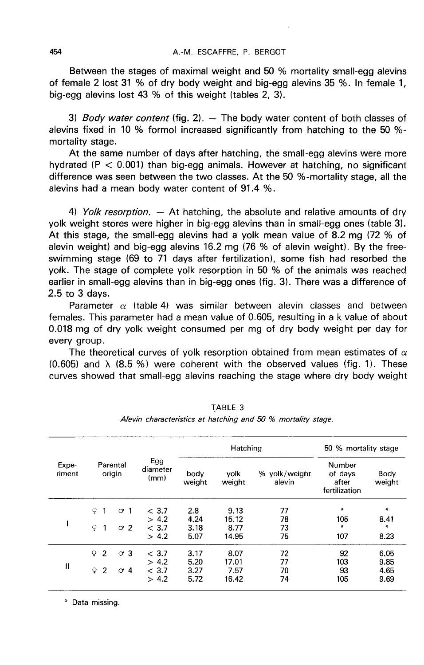Between the stages of maximal weight and 50 % mortality small-egg alevins of female 2 lost 31 % of dry body weight and big-egg alevins 35 %. In female 1, big-egg alevins lost 43 % of this weight (tables 2, 3).

3) Body water content (fig. 2).  $-$  The body water content of both classes of alevins fixed in 10 % formol increased significantly from hatching to the 50 % mortality stage.

At the same number of days after hatching, the small-egg alevins were more hydrated ( $P < 0.001$ ) than big-egg animals. However at hatching, no significant difference was seen between the two classes. At the 50 %-mortality stage, all the alevins had a mean body water content of 91.4 %.

4) Yolk resorption.  $-$  At hatching, the absolute and relative amounts of dry yolk weight stores were higher in big-egg alevins than in small-egg ones (table 3). At this stage, the small-egg alevins had a yolk mean value of 8.2 mg (72 % of alevin weight) and big-egg alevins 16.2 mg (76 % of alevin weight). By the freeswimming stage (69 to 71 days after fertilization), some fish had resorbed the yolk. The stage of complete yolk resorption in 50 % of the animals was reached earlier in small-egg alevins than in big-egg ones (fig. 3). There was a difference of 2.5 to 3 days.

Parameter  $\alpha$  (table 4) was similar between alevin classes and between females. This parameter had a mean value of 0.605, resulting in a k value of about 0.018 mg of dry yolk weight consumed per mg of dry body weight per day for every group.

The theoretical curves of yolk resorption obtained from mean estimates of  $\alpha$  $(0.605)$  and  $\lambda$   $(8.5\%)$  were coherent with the observed values (fig. 1). These curves showed that small-egg alevins reaching the stage where dry body weight

|                 | Parental<br>origin             |            |                         | Hatching       |                |                         | 50 % mortality stage                        |                |
|-----------------|--------------------------------|------------|-------------------------|----------------|----------------|-------------------------|---------------------------------------------|----------------|
| Expe-<br>riment |                                |            | Egg<br>diameter<br>(mm) | body<br>weight | volk<br>weight | % yolk/weight<br>alevin | Number<br>of days<br>after<br>fertilization | Body<br>weight |
|                 | Q                              | $\sigma$ 1 | < 3.7                   | 2.8            | 9.13           | 77                      | ₩                                           | $\ast$         |
|                 |                                |            | > 4.2                   | 4.24           | 15.12          | 78                      | 105                                         | 8.41           |
|                 | Q<br>$\mathbf{1}$              | $\sigma$ 2 | < 3.7                   | 3.18           | 8.77           | 73                      | ∗                                           | *              |
|                 |                                |            | > 4.2                   | 5.07           | 14.95          | 75                      | 107                                         | 8.23           |
|                 | $\overline{2}$<br>Q            | $\circ$ 3  | < 3.7                   | 3.17           | 8.07           | 72                      | 92                                          | 6.05           |
|                 |                                |            | > 4.2                   | 5.20           | 17.01          | 77                      | 103                                         | 9.85           |
| Ш               | $\overline{2}$<br>$\mathsf{Q}$ | $\circ$ 4  | < 3.7                   | 3.27           | 7.57           | 70                      | 93                                          | 4.65           |
|                 |                                |            | > 4.2                   | 5.72           | 16.42          | 74                      | 105                                         | 9.69           |

TABLE 3

Alevin characteristics at hatching and 50 % mortality stage.

\* Data missing.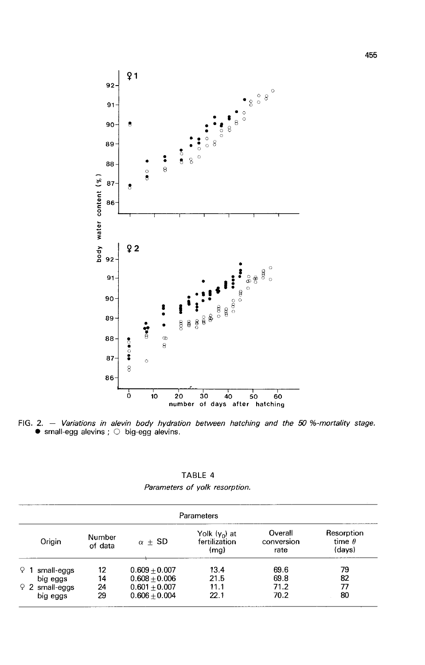

FIG. 2. - Variations in alevin body hydration between hatching and the 50 %-mortality stage.  $\bullet$  small-egg alevins ;  $\circ$  big-egg alevins.

TABLE 4 Parameters of yolk resorption.

| Parameters        |                   |                 |                                                    |                               |                                       |  |
|-------------------|-------------------|-----------------|----------------------------------------------------|-------------------------------|---------------------------------------|--|
| Origin            | Number<br>of data | $\alpha \pm SD$ | Yolk (y <sub>n</sub> ) at<br>fertilization<br>(mq) | Overall<br>conversion<br>rate | Resorption<br>time $\theta$<br>(davs) |  |
| . Q<br>small-eggs | 12                | $0.609 + 0.007$ | 13.4                                               | 69.6                          | 79                                    |  |
| big eggs          | 14                | $0.608 + 0.006$ | 21.5                                               | 69.8                          | 82                                    |  |
| $92$ small-eggs   | 24                | $0.601 + 0.007$ | 11.1                                               | 71.2                          | 77                                    |  |
| big eggs          | 29                | $0.606 + 0.004$ | 22.1                                               | 70.2                          | 80                                    |  |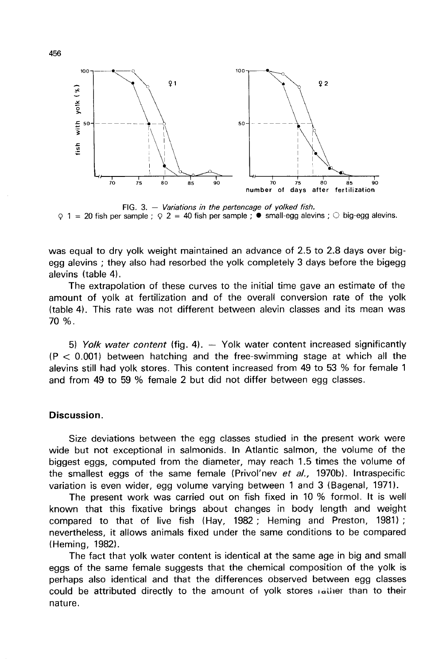

FIG. 3.  $-$  Variations in the pertencage of yolked fish.  $\varphi$  1 = 20 fish per sample ;  $\varphi$  2 = 40 fish per sample ;  $\bullet$  small-egg alevins ;  $\circ$  big-egg alevins.

was equal to dry yolk weight maintained an advance of 2.5 to 2.8 days over bigegg alevins ; they also had resorbed the yolk completely 3 days before the bigegg alevins (table 4).

The extrapolation of these curves to the initial time gave an estimate of the amount of yolk at fertilization and of the overall conversion rate of the yolk (table 4). This rate was not different between alevin classes and its mean was 70 %.

5) Yolk water content (fig. 4).  $-$  Yolk water content increased significantly  $(P < 0.001)$  between hatching and the free-swimming stage at which all the alevins still had yolk stores. This content increased from 49 to 53 % for female 1 and from 49 to 59 % female 2 but did not differ between egg classes.

## Discussion.

Size deviations between the egg classes studied in the present work were wide but not exceptional in salmonids. In Atlantic salmon, the volume of the biggest eggs, computed from the diameter, may reach 1.5 times the volume of the smallest eggs of the same female (Privol'nev et al., 1970b). Intraspecific variation is even wider, egg volume varying between 1 and 3 (Bagenal, 1971).

The present work was carried out on fish fixed in 10 % formol. It is well known that this fixative brings about changes in body length and weight compared to that of live fish (Hay, 1982 ; Heming and Preston, 1981) ; nevertheless, it allows animals fixed under the same conditions to be compared (Heming, 1982).

The fact that yolk water content is identical at the same age in big and small eggs of the same female suggests that the chemical composition of the yolk is perhaps also identical and that the differences observed between egg classes could be attributed directly to the amount of yolk stores rather than to their nature.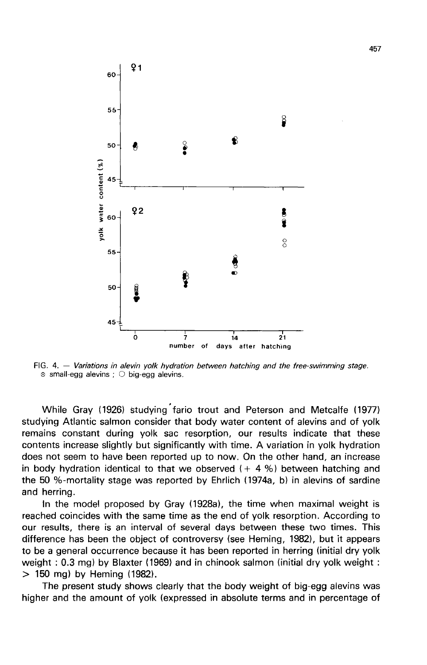

FIG. 4. - Variations in alevin yolk hydration between hatching and the free-swimming stage.  $\circ$  small-egg alevins ;  $\circ$  big-egg alevins.

While Gray (1926) studying fario trout and Peterson and Metcalfe (1977) studying Atlantic salmon consider that body water content of alevins and of yolk remains constant during yolk sac resorption, our results indicate that these contents increase slightly but significantly with time. A variation in yolk hydration does not seem to have been reported up to now. On the other hand, an increase in body hydration identical to that we observed  $(+ 4 %)$  between hatching and the 50 %-mortality stage was reported by Ehrlich (1974a, b) in alevins of sardine and herring.

In the model proposed by Gray (1928a), the time when maximal weight is reached coincides with the same time as the end of yolk resorption. According to our results, there is an interval of several days between these two times. This difference has been the object of controversy (see Heming, 1982), but it appears to be a general occurrence because it has been reported in herring (initial dry yolk weight : 0.3 mg) by Blaxter (1969) and in chinook salmon (initial dry yolk weight : > 150 mg) by Heming (1982).

The present study shows clearly that the body weight of big-egg alevins was higher and the amount of yolk (expressed in absolute terms and in percentage of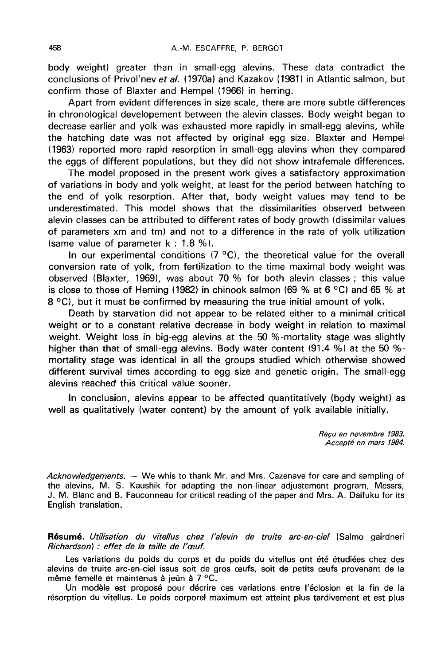body weight) greater than in small-egg alevins. These data contradict the conclusions of Privol'nev et al. (1970a) and Kazakov (1981) in Atlantic salmon, but confirm those of Blaxter and Hempel (1966) in herring.

Apart from evident differences in size scale, there are more subtle differences in chronological developement between the alevin classes. Body weight began to decrease earlier and yolk was exhausted more rapidly in small-egg alevins, while the hatching date was not affected by original egg size. Blaxter and Hempel (1963) reported more rapid resorption in small-egg alevins when they compared the eggs of different populations, but they did not show intrafemale differences.

The model proposed in the present work gives a satisfactory approximation of variations in body and yolk weight, at least for the period between hatching to the end of yolk resorption. After that, body weight values may tend to be underestimated. This model shows that the dissimilarities observed between alevin classes can be attributed to different rates of body growth (dissimilar values of parameters xm and tm) and not to a difference in the rate of yolk utilization (same value of parameter  $k : 1.8 %$ ).

In our experimental conditions  $(7 \degree C)$ , the theoretical value for the overall conversion rate of yolk, from fertilization to the time maximal body weight was observed (Blaxter, 1969), was about 70 % for both alevin classes ; this value is close to those of Heming (1982) in chinook salmon (69 % at 6 °C) and 65 % at 8 °C), but it must be confirmed by measuring the true initial amount of yolk.

Death by starvation did not appear to be related either to a minimal critical weight or to a constant relative decrease in body weight in relation to maximal weight. Weight loss in big-egg alevins at the 50 %-mortality stage was slightly higher than that of small-egg alevins. Body water content (91.4 %) at the 50 % mortality stage was identical in all the groups studied which otherwise showed different survival times according to egg size and genetic origin. The small-egg alevins reached this critical value sooner.

In conclusion, alevins appear to be affected quantitatively (body weight) as well as qualitatively (water content) by the amount of yolk available initially.

> Recu en novembre 1983. Accepte en mars 1984.

Acknowledgements. — We whis to thank Mr. and Mrs. Cazenave for care and sampling of the alevins, M. S. Kaushik for adapting the non-linear adjustement program, Messrs, J. M. Blanc and B. Fauconneau for critical reading of the paper and Mrs. A. Daifuku for its English translation.

Résumé. Utilisation du vitellus chez l'alevin de truite arc-en-ciel (Salmo gairdneri Richardson) : effet de la taille de l'œuf.

Les variations du poids du corps et du poids du vitellus ont été étudiées chez des alevins de truite arc-en-ciel issus soit de gros œufs, soit de petits œufs provenant de la même femelle et maintenus à jeûn à 7 °C.

Un modèle est proposé pour décrire ces variations entre l'éclosion et la fin de la résorption du vitellus. Le poids corporel maximum est atteint plus tardivement et est plus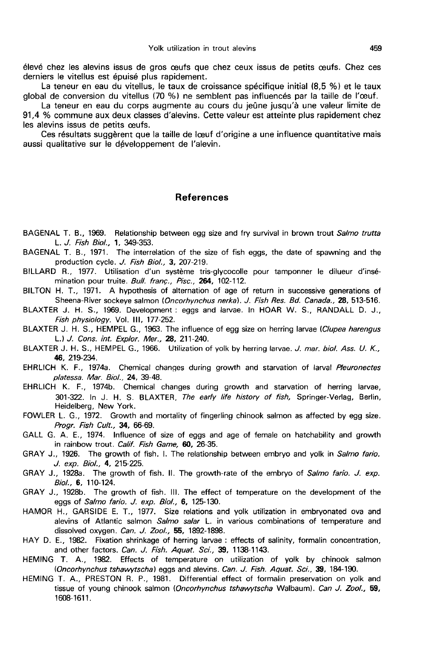élevé chez les alevins issus de gros oeufs que chez ceux issus de petits oeufs. Chez ces derniers le vitellus est épuisé plus rapidement.

La teneur en eau du vitellus, le taux de croissance spécifique initial (8,5 %) et le taux global de conversion du vitellus (70 %) ne semblent pas influencés par la taille de l'oeuf.

La teneur en eau du corps augmente au cours du jeûne jusqu'à une valeur limite de 91,4 % commune aux deux classes d'alevins. Cette valeur est atteinte plus rapidement chez les alevins issus de petits oeufs.

Ces résultats suggèrent que la taille de loeuf d'origine a une influence quantitative mais aussi qualitative sur le développement de l'alevin.

#### **References**

- BAGENAL T. B., 1969. Relationship between egg size and fry survival in brown trout Salmo trutta L. J. Fish Biol., 1, 349-353.
- BAGENAL T. B., 1971. The interrelation of the size of fish eggs, the date of spawning and the production cycle. J. Fish Biol., 3, 207-219.
- BILLARD R., 1977. Utilisation d'un système tris-glycocolle pour tamponner le dilueur d'insémination pour truite. Bull. franç., Pisc., 264, 102-112.
- BILTON H. T., 1971. A hypothesis of alternation of age of return in successive generations of Sheena-River sockeye salmon (Oncorhynchus nerka). J. Fish Res. Bd. Canada., 28, 513-516.
- BLAXTER J. H. S., 1969. Development : eggs and larvae. In HOAR W. S., RANDALL D. J., Fish physiology. Vol. III, 177-252.
- BLAXTER J. H. S., HEMPEL G., 1963. The influence of egg size on herring larvae (Clupea harengus L.) J. Cons. int. Explor. Mer., 28, 211-240.
- BLAXTER J. H. S., HEMPEL G., 1966. Utilization of yolk by herring larvae. J. mar. biol. Ass. U. K., 46, 219-234.
- EHRLICH K. F., 1974a. Chemical changes during growth and starvation of larval Pleuronectes platessa. Mar. Bio/., 24, 39-48.
- EHRLICH K. F., 1974b. Chemical changes during growth and starvation of herring larvae, 301-322. In J. H. S. BLAXTER. The early life history of fish, Springer-Verlag, Berlin, Heidelberg, New York.
- FOWLER L. G., 1972. Growth and mortality of fingerling chinook salmon as affected by egg size. Progr. Fish Cult., 34, 66-69.
- GALL G. A. E., 1974. Influence of size of eggs and age of female on hatchability and growth in rainbow trout. Calif. Fish Game, 60, 26-35.
- GRAY J., 1926. The growth of fish. I. The relationship between embryo and yolk in Salmo fario. J. exp. Biol., 4, 215-225.
- GRAY J., 1928a. The growth of fish. II. The growth-rate of the embryo of Salmo fario. J. exp. Biol., 6, 110-124.
- GRAY J., 1928b. The growth of fish. 111. The effect of temperature on the development of the eggs of Salmo fario. J. exp. Biol., 6, 125-130.
- HAMOR H., GARSIDE E. T., 1977. Size relations and yolk utilization in embryonated ova and alevins of Atlantic salmon Salmo salar L. in various combinations of temperature and dissolved oxygen. Can. J. Zool., 55, 1892-1898.
- HAY D. E., 1982. Fixation shrinkage of herring larvae : effects of salinity, formalin concentration, and other factors. Can. J. Fish. Aquat. Sci., 39, 1138-1143.
- HEMING T. A., 1982. Effects of temperature on utilization of yolk by chinook salmon (Oncorhynchus tshawytscha) eggs and alevins. Can. J. Fish. Aquat. Sci., 39, 184-190.
- HEMING T. A., PRESTON R. P., 1981. Differential effect of formalin preservation on yolk and tissue of young chinook salmon (Oncorhynchus tshawytscha Walbaum). Can J. Zool., 59, 1608-1611.